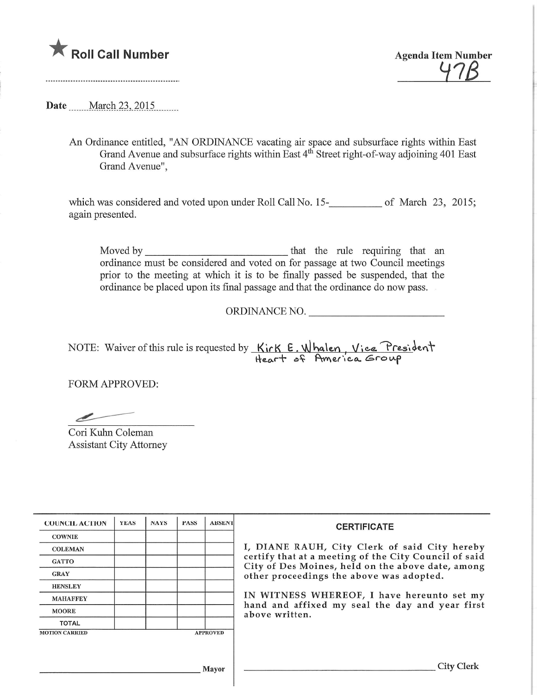

Date March 23, 2015

An Ordinance entitled, "AN ORDINANCE vacating air space and subsurface rights within East Grand Avenue and subsurface rights within East 4<sup>th</sup> Street right-of-way adjoining 401 East Grand Avenue",

which was considered and voted upon under Roll Call No.  $15$ - $\mu$  and  $\mu$  March 23, 2015 again presented.

Moved by that the rule requiring that an ordinance must be considered and voted on for passage at two Council meetings prior to the meeting at which it is to be finally passed be suspended, that the ordinance be placed upon its final passage and that the ordinance do now pass.

ORDINANCE NO.

NOTE: Waiver of this rule is requested by  $\kappa$  in  $\kappa \in \mathcal{N}$  halen , Vice, President Heart of Hmerica Group

FORM APPROVED:

Cori Kuhn Coleman Assistant City Attorney

| <b>COUNCIL ACTION</b> | <b>YEAS</b> | <b>NAYS</b> | <b>PASS</b> | <b>ABSENT</b>   | <b>CERTIFICATE</b>                                                                                                                                                                                                                                                                                                         |
|-----------------------|-------------|-------------|-------------|-----------------|----------------------------------------------------------------------------------------------------------------------------------------------------------------------------------------------------------------------------------------------------------------------------------------------------------------------------|
| <b>COWNIE</b>         |             |             |             |                 |                                                                                                                                                                                                                                                                                                                            |
| <b>COLEMAN</b>        |             |             |             |                 | I, DIANE RAUH, City Clerk of said City hereby<br>certify that at a meeting of the City Council of said<br>City of Des Moines, held on the above date, among<br>other proceedings the above was adopted.<br>IN WITNESS WHEREOF, I have hereunto set my<br>hand and affixed my seal the day and year first<br>above written. |
| <b>GATTO</b>          |             |             |             |                 |                                                                                                                                                                                                                                                                                                                            |
| <b>GRAY</b>           |             |             |             |                 |                                                                                                                                                                                                                                                                                                                            |
| <b>HENSLEY</b>        |             |             |             |                 |                                                                                                                                                                                                                                                                                                                            |
| <b>MAHAFFEY</b>       |             |             |             |                 |                                                                                                                                                                                                                                                                                                                            |
| <b>MOORE</b>          |             |             |             |                 |                                                                                                                                                                                                                                                                                                                            |
| <b>TOTAL</b>          |             |             |             |                 |                                                                                                                                                                                                                                                                                                                            |
| <b>MOTION CARRIED</b> |             |             |             | <b>APPROVED</b> |                                                                                                                                                                                                                                                                                                                            |
|                       |             |             |             |                 |                                                                                                                                                                                                                                                                                                                            |
|                       |             |             |             |                 |                                                                                                                                                                                                                                                                                                                            |
| Mayor                 |             |             |             |                 | City Clerk                                                                                                                                                                                                                                                                                                                 |